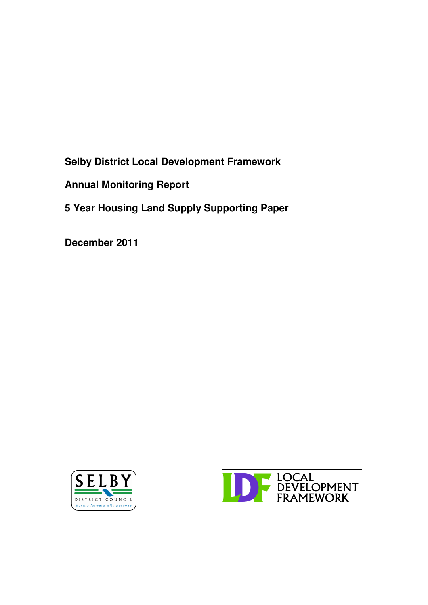**Selby District Local Development Framework**

**Annual Monitoring Report**

**5 Year Housing Land Supply Supporting Paper**

**December 2011**



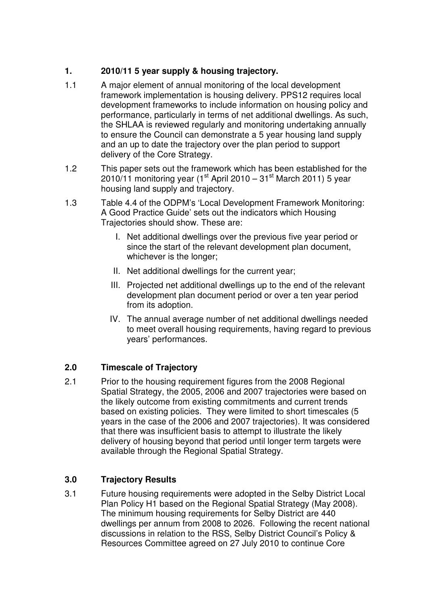## **1. 2010/11 5 year supply & housing trajectory.**

- 1.1 A major element of annual monitoring of the local development framework implementation is housing delivery. PPS12 requires local development frameworks to include information on housing policy and performance, particularly in terms of net additional dwellings. As such, the SHLAA is reviewed regularly and monitoring undertaking annually to ensure the Council can demonstrate a 5 year housing land supply and an up to date the trajectory over the plan period to support delivery of the Core Strategy.
- 1.2 This paper sets out the framework which has been established for the 2010/11 monitoring year (1<sup>st</sup> April 2010 – 31<sup>st</sup> March 2011) 5 year housing land supply and trajectory.
- 1.3 Table 4.4 of the ODPM's 'Local Development Framework Monitoring: A Good Practice Guide' sets out the indicators which Housing Trajectories should show. These are:
	- I. Net additional dwellings over the previous five year period or since the start of the relevant development plan document, whichever is the longer;
	- II. Net additional dwellings for the current year;
	- III. Projected net additional dwellings up to the end of the relevant development plan document period or over a ten year period from its adoption.
	- IV. The annual average number of net additional dwellings needed to meet overall housing requirements, having regard to previous years' performances.

# **2.0 Timescale of Trajectory**

2.1 Prior to the housing requirement figures from the 2008 Regional Spatial Strategy, the 2005, 2006 and 2007 trajectories were based on the likely outcome from existing commitments and current trends based on existing policies. They were limited to short timescales (5 years in the case of the 2006 and 2007 trajectories). It was considered that there was insufficient basis to attempt to illustrate the likely delivery of housing beyond that period until longer term targets were available through the Regional Spatial Strategy.

# **3.0 Trajectory Results**

3.1 Future housing requirements were adopted in the Selby District Local Plan Policy H1 based on the Regional Spatial Strategy (May 2008). The minimum housing requirements for Selby District are 440 dwellings per annum from 2008 to 2026. Following the recent national discussions in relation to the RSS, Selby District Council's Policy & Resources Committee agreed on 27 July 2010 to continue Core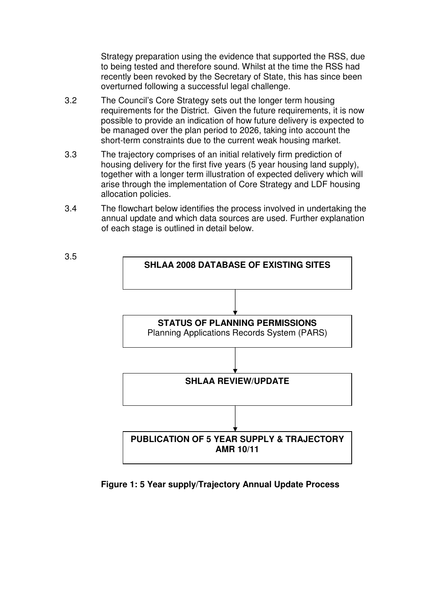Strategy preparation using the evidence that supported the RSS, due to being tested and therefore sound. Whilst at the time the RSS had recently been revoked by the Secretary of State, this has since been overturned following a successful legal challenge.

- 3.2 The Council's Core Strategy sets out the longer term housing requirements for the District. Given the future requirements, it is now possible to provide an indication of how future delivery is expected to be managed over the plan period to 2026, taking into account the short-term constraints due to the current weak housing market.
- 3.3 The trajectory comprises of an initial relatively firm prediction of housing delivery for the first five years (5 year housing land supply), together with a longer term illustration of expected delivery which will arise through the implementation of Core Strategy and LDF housing allocation policies.
- 3.4 The flowchart below identifies the process involved in undertaking the annual update and which data sources are used. Further explanation of each stage is outlined in detail below.



**Figure 1: 5 Year supply/Trajectory Annual Update Process**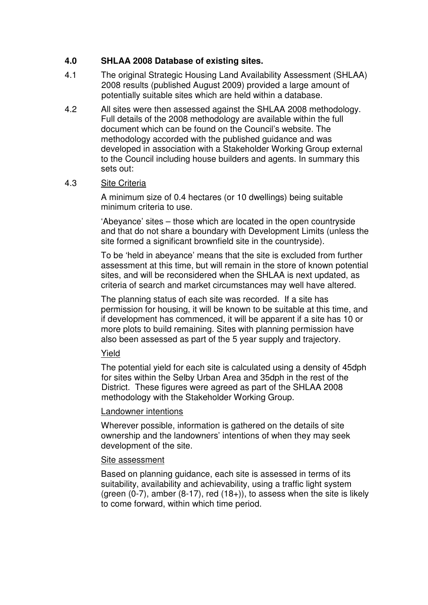### **4.0 SHLAA 2008 Database of existing sites.**

- 4.1 The original Strategic Housing Land Availability Assessment (SHLAA) 2008 results (published August 2009) provided a large amount of potentially suitable sites which are held within a database.
- 4.2 All sites were then assessed against the SHLAA 2008 methodology. Full details of the 2008 methodology are available within the full document which can be found on the Council's website. The methodology accorded with the published guidance and was developed in association with a Stakeholder Working Group external to the Council including house builders and agents. In summary this sets out:

#### 4.3 Site Criteria

A minimum size of 0.4 hectares (or 10 dwellings) being suitable minimum criteria to use.

'Abeyance' sites – those which are located in the open countryside and that do not share a boundary with Development Limits (unless the site formed a significant brownfield site in the countryside).

To be 'held in abeyance' means that the site is excluded from further assessment at this time, but will remain in the store of known potential sites, and will be reconsidered when the SHLAA is next updated, as criteria of search and market circumstances may well have altered.

The planning status of each site was recorded. If a site has permission for housing, it will be known to be suitable at this time, and if development has commenced, it will be apparent if a site has 10 or more plots to build remaining. Sites with planning permission have also been assessed as part of the 5 year supply and trajectory.

### Yield

The potential yield for each site is calculated using a density of 45dph for sites within the Selby Urban Area and 35dph in the rest of the District. These figures were agreed as part of the SHLAA 2008 methodology with the Stakeholder Working Group.

#### Landowner intentions

Wherever possible, information is gathered on the details of site ownership and the landowners' intentions of when they may seek development of the site.

#### Site assessment

Based on planning guidance, each site is assessed in terms of its suitability, availability and achievability, using a traffic light system (green  $(0-7)$ , amber  $(8-17)$ , red  $(18+1)$ , to assess when the site is likely to come forward, within which time period.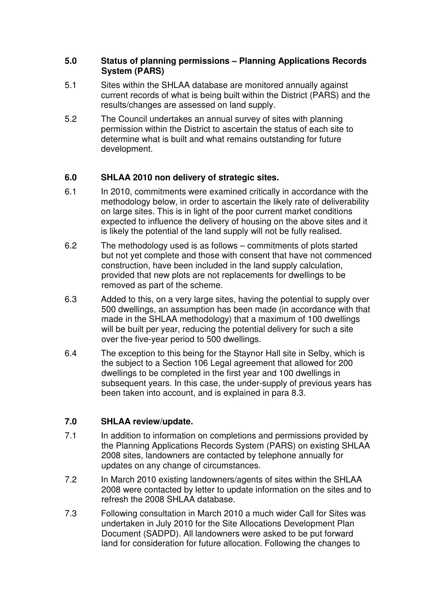#### **5.0 Status of planning permissions – Planning Applications Records System (PARS)**

- 5.1 Sites within the SHLAA database are monitored annually against current records of what is being built within the District (PARS) and the results/changes are assessed on land supply.
- 5.2 The Council undertakes an annual survey of sites with planning permission within the District to ascertain the status of each site to determine what is built and what remains outstanding for future development.

### **6.0 SHLAA 2010 non delivery of strategic sites.**

- 6.1 In 2010, commitments were examined critically in accordance with the methodology below, in order to ascertain the likely rate of deliverability on large sites. This is in light of the poor current market conditions expected to influence the delivery of housing on the above sites and it is likely the potential of the land supply will not be fully realised.
- 6.2 The methodology used is as follows commitments of plots started but not yet complete and those with consent that have not commenced construction, have been included in the land supply calculation, provided that new plots are not replacements for dwellings to be removed as part of the scheme.
- 6.3 Added to this, on a very large sites, having the potential to supply over 500 dwellings, an assumption has been made (in accordance with that made in the SHLAA methodology) that a maximum of 100 dwellings will be built per year, reducing the potential delivery for such a site over the five-year period to 500 dwellings.
- 6.4 The exception to this being for the Staynor Hall site in Selby, which is the subject to a Section 106 Legal agreement that allowed for 200 dwellings to be completed in the first year and 100 dwellings in subsequent years. In this case, the under-supply of previous years has been taken into account, and is explained in para 8.3.

## **7.0 SHLAA review/update.**

- 7.1 In addition to information on completions and permissions provided by the Planning Applications Records System (PARS) on existing SHLAA 2008 sites, landowners are contacted by telephone annually for updates on any change of circumstances.
- 7.2 In March 2010 existing landowners/agents of sites within the SHLAA 2008 were contacted by letter to update information on the sites and to refresh the 2008 SHLAA database.
- 7.3 Following consultation in March 2010 a much wider Call for Sites was undertaken in July 2010 for the Site Allocations Development Plan Document (SADPD). All landowners were asked to be put forward land for consideration for future allocation. Following the changes to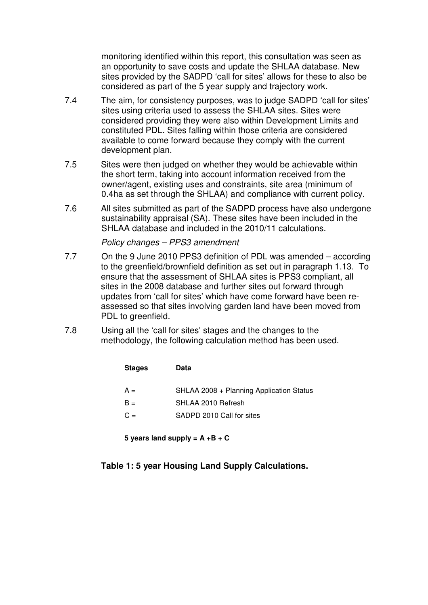monitoring identified within this report, this consultation was seen as an opportunity to save costs and update the SHLAA database. New sites provided by the SADPD 'call for sites' allows for these to also be considered as part of the 5 year supply and trajectory work.

- 7.4 The aim, for consistency purposes, was to judge SADPD 'call for sites' sites using criteria used to assess the SHLAA sites. Sites were considered providing they were also within Development Limits and constituted PDL. Sites falling within those criteria are considered available to come forward because they comply with the current development plan.
- 7.5 Sites were then judged on whether they would be achievable within the short term, taking into account information received from the owner/agent, existing uses and constraints, site area (minimum of 0.4ha as set through the SHLAA) and compliance with current policy.
- 7.6 All sites submitted as part of the SADPD process have also undergone sustainability appraisal (SA). These sites have been included in the SHLAA database and included in the 2010/11 calculations.

*Policy changes – PPS3 amendment*

- 7.7 On the 9 June 2010 PPS3 definition of PDL was amended according to the greenfield/brownfield definition as set out in paragraph 1.13. To ensure that the assessment of SHLAA sites is PPS3 compliant, all sites in the 2008 database and further sites out forward through updates from 'call for sites' which have come forward have been reassessed so that sites involving garden land have been moved from PDL to greenfield.
- 7.8 Using all the 'call for sites' stages and the changes to the methodology, the following calculation method has been used.

| <b>Stages</b> | Data                                     |
|---------------|------------------------------------------|
| $A =$         | SHLAA 2008 + Planning Application Status |
| $B =$         | SHLAA 2010 Refresh                       |
| $C =$         | SADPD 2010 Call for sites                |

**5 years land supply = A +B + C**

**Table 1: 5 year Housing Land Supply Calculations.**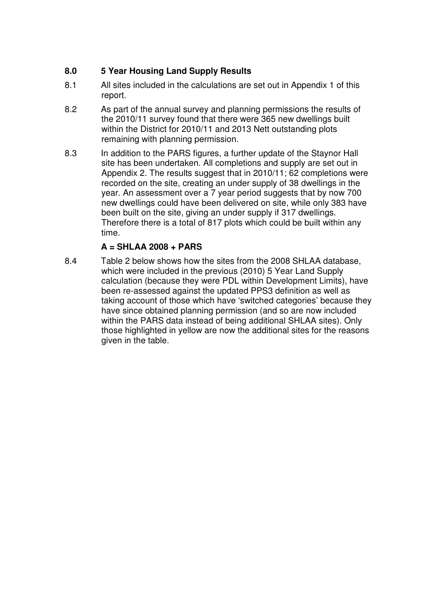## **8.0 5 Year Housing Land Supply Results**

- 8.1 All sites included in the calculations are set out in Appendix 1 of this report.
- 8.2 As part of the annual survey and planning permissions the results of the 2010/11 survey found that there were 365 new dwellings built within the District for 2010/11 and 2013 Nett outstanding plots remaining with planning permission.
- 8.3 In addition to the PARS figures, a further update of the Staynor Hall site has been undertaken. All completions and supply are set out in Appendix 2. The results suggest that in 2010/11; 62 completions were recorded on the site, creating an under supply of 38 dwellings in the year. An assessment over a 7 year period suggests that by now 700 new dwellings could have been delivered on site, while only 383 have been built on the site, giving an under supply if 317 dwellings. Therefore there is a total of 817 plots which could be built within any time.

## **A = SHLAA 2008 + PARS**

8.4 Table 2 below shows how the sites from the 2008 SHLAA database, which were included in the previous (2010) 5 Year Land Supply calculation (because they were PDL within Development Limits), have been re-assessed against the updated PPS3 definition as well as taking account of those which have 'switched categories' because they have since obtained planning permission (and so are now included within the PARS data instead of being additional SHLAA sites). Only those highlighted in yellow are now the additional sites for the reasons given in the table.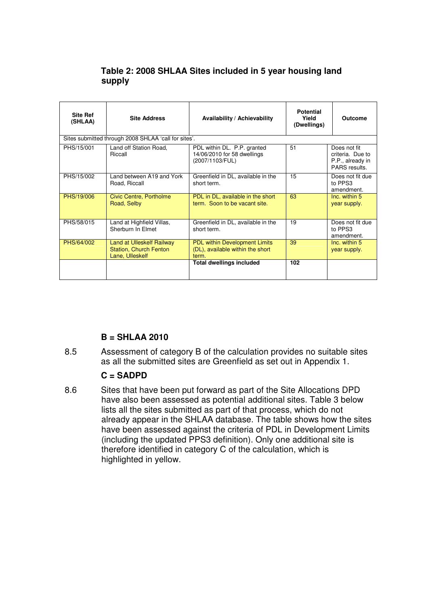## **Table 2: 2008 SHLAA Sites included in 5 year housing land supply**

| <b>Site Ref</b><br>(SHLAA) | <b>Site Address</b>                                                           | Availability / Achievability                                                      | <b>Potential</b><br>Yield<br>(Dwellings) | <b>Outcome</b>                                                        |
|----------------------------|-------------------------------------------------------------------------------|-----------------------------------------------------------------------------------|------------------------------------------|-----------------------------------------------------------------------|
|                            | Sites submitted through 2008 SHLAA 'call for sites'.                          |                                                                                   |                                          |                                                                       |
| PHS/15/001                 | Land off Station Road,<br>Riccall                                             | PDL within DL. P.P. granted<br>14/06/2010 for 58 dwellings<br>(2007/1103/FUL)     | 51                                       | Does not fit<br>criteria. Due to<br>P.P., already in<br>PARS results. |
| PHS/15/002                 | Land between A19 and York<br>Road, Riccall                                    | Greenfield in DL, available in the<br>short term.                                 | 15                                       | Does not fit due<br>to PPS3<br>amendment.                             |
| PHS/19/006                 | Civic Centre, Portholme<br>Road, Selby                                        | PDL in DL, available in the short<br>term. Soon to be vacant site.                | 63                                       | Inc. within 5<br>year supply.                                         |
| PHS/58/015                 | Land at Highfield Villas,<br>Sherburn In Elmet                                | Greenfield in DL, available in the<br>short term.                                 | 19                                       | Does not fit due<br>to PPS3<br>amendment.                             |
| PHS/64/002                 | Land at Ulleskelf Railway<br><b>Station, Church Fenton</b><br>Lane, Ulleskelf | <b>PDL within Development Limits</b><br>(DL), available within the short<br>term. | 39                                       | Inc. within 5<br>year supply.                                         |
|                            |                                                                               | <b>Total dwellings included</b>                                                   | 102                                      |                                                                       |

### **B = SHLAA 2010**

8.5 Assessment of category B of the calculation provides no suitable sites as all the submitted sites are Greenfield as set out in Appendix 1.

### **C = SADPD**

8.6 Sites that have been put forward as part of the Site Allocations DPD have also been assessed as potential additional sites. Table 3 below lists all the sites submitted as part of that process, which do not already appear in the SHLAA database. The table shows how the sites have been assessed against the criteria of PDL in Development Limits (including the updated PPS3 definition). Only one additional site is therefore identified in category C of the calculation, which is highlighted in yellow.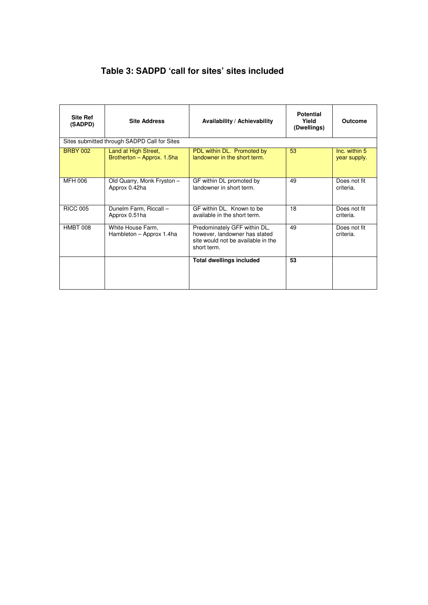# **Table 3: SADPD 'call for sites' sites included**

| <b>Site Ref</b><br>(SADPD) | <b>Site Address</b>                                | Availability / Achievability                                                                                       | <b>Potential</b><br>Yield<br>(Dwellings) | Outcome                       |
|----------------------------|----------------------------------------------------|--------------------------------------------------------------------------------------------------------------------|------------------------------------------|-------------------------------|
|                            | Sites submitted through SADPD Call for Sites       |                                                                                                                    |                                          |                               |
| <b>BRBY 002</b>            | Land at High Street,<br>Brotherton - Approx. 1.5ha | PDL within DL. Promoted by<br>landowner in the short term.                                                         | 53                                       | Inc. within 5<br>year supply. |
| MFH 006                    | Old Quarry, Monk Fryston -<br>Approx 0.42ha        | GF within DL promoted by<br>landowner in short term.                                                               | 49                                       | Does not fit<br>criteria.     |
| <b>RICC 005</b>            | Dunelm Farm, Riccall -<br>Approx 0.51ha            | GF within DL. Known to be<br>available in the short term.                                                          | 18                                       | Does not fit<br>criteria.     |
| HMBT 008                   | White House Farm,<br>Hambleton - Approx 1.4ha      | Predominately GFF within DL,<br>however, landowner has stated<br>site would not be available in the<br>short term. | 49                                       | Does not fit<br>criteria.     |
|                            |                                                    | <b>Total dwellings included</b>                                                                                    | 53                                       |                               |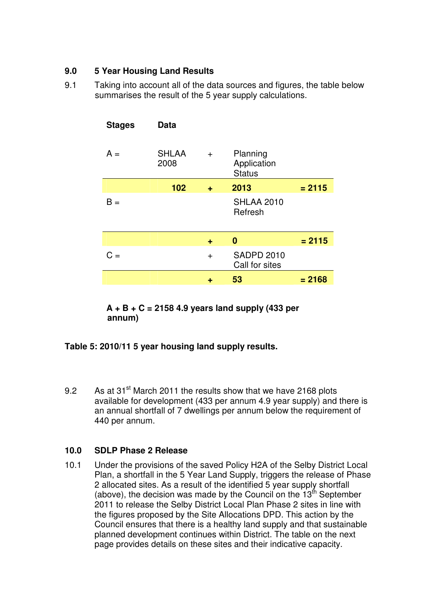### **9.0 5 Year Housing Land Results**

9.1 Taking into account all of the data sources and figures, the table below summarises the result of the 5 year supply calculations.

| <b>Stages</b><br><b>Data</b>  |     |                                          |          |
|-------------------------------|-----|------------------------------------------|----------|
| <b>SHLAA</b><br>$A =$<br>2008 | $+$ | Planning<br>Application<br><b>Status</b> |          |
| 102                           | ÷   | 2013                                     | $= 2115$ |
| $B =$                         |     | <b>SHLAA 2010</b><br>Refresh             |          |
|                               | ÷   | 0                                        | $= 2115$ |
| C =                           | $+$ | <b>SADPD 2010</b><br>Call for sites      |          |
|                               |     | 53                                       | $= 2168$ |

**A + B + C = 2158 4.9 years land supply (433 per annum)**

### **Table 5: 2010/11 5 year housing land supply results.**

9.2 As at 31<sup>st</sup> March 2011 the results show that we have 2168 plots available for development (433 per annum 4.9 year supply) and there is an annual shortfall of 7 dwellings per annum below the requirement of 440 per annum.

### **10.0 SDLP Phase 2 Release**

10.1 Under the provisions of the saved Policy H2A of the Selby District Local Plan, a shortfall in the 5 Year Land Supply, triggers the release of Phase 2 allocated sites. As a result of the identified 5 year supply shortfall (above), the decision was made by the Council on the  $13<sup>th</sup>$  September 2011 to release the Selby District Local Plan Phase 2 sites in line with the figures proposed by the Site Allocations DPD. This action by the Council ensures that there is a healthy land supply and that sustainable planned development continues within District. The table on the next page provides details on these sites and their indicative capacity.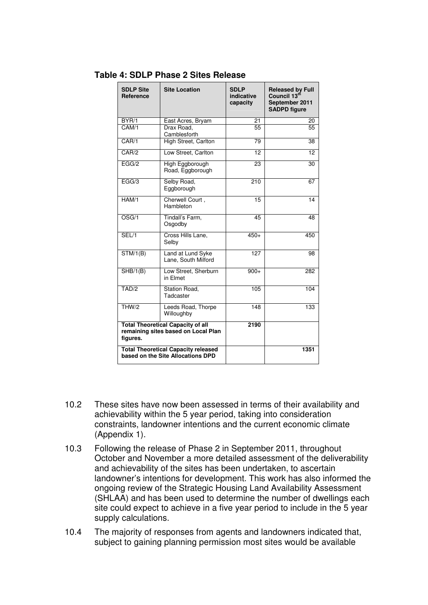| <b>SDLP Site</b><br>Reference                                                               | <b>Site Location</b>                                                            | <b>SDLP</b><br>indicative<br>capacity | <b>Released by Full</b><br>Council 13 <sup>th</sup><br>September 2011<br><b>SADPD figure</b> |
|---------------------------------------------------------------------------------------------|---------------------------------------------------------------------------------|---------------------------------------|----------------------------------------------------------------------------------------------|
| BYR/1                                                                                       | East Acres, Bryam                                                               | 21                                    | 20                                                                                           |
| CAM/1                                                                                       | Drax Road.<br>Camblesforth                                                      | 55                                    | $\overline{55}$                                                                              |
| CAR/1                                                                                       | High Street, Carlton                                                            | 79                                    | 38                                                                                           |
| CAR/2                                                                                       | Low Street, Carlton                                                             | 12                                    | 12                                                                                           |
| EGG/2                                                                                       | High Eggborough<br>Road, Eggborough                                             | 23                                    | 30                                                                                           |
| EGG/3                                                                                       | Selby Road,<br>Eggborough                                                       | 210                                   | 67                                                                                           |
| HAM/1                                                                                       | Cherwell Court,<br>Hambleton                                                    | $\overline{15}$                       | 14                                                                                           |
| OSG/1                                                                                       | Tindall's Farm,<br>Osgodby                                                      | 45                                    | 48                                                                                           |
| SEL/1                                                                                       | Cross Hills Lane.<br>Selby                                                      | $450+$                                | 450                                                                                          |
| STM/1(B)                                                                                    | Land at Lund Syke<br>Lane, South Milford                                        | 127                                   | 98                                                                                           |
| SHB/1(B)                                                                                    | Low Street, Sherburn<br>in Flmet                                                | $900+$                                | 282                                                                                          |
| TAD/2                                                                                       | Station Road,<br>Tadcaster                                                      | 105                                   | 104                                                                                          |
| THW/2                                                                                       | Leeds Road, Thorpe<br>Willoughby                                                | 148                                   | 133                                                                                          |
| <b>Total Theoretical Capacity of all</b><br>remaining sites based on Local Plan<br>figures. |                                                                                 | 2190                                  |                                                                                              |
|                                                                                             | <b>Total Theoretical Capacity released</b><br>based on the Site Allocations DPD |                                       | 1351                                                                                         |

#### **Table 4: SDLP Phase 2 Sites Release**

- 10.2 These sites have now been assessed in terms of their availability and achievability within the 5 year period, taking into consideration constraints, landowner intentions and the current economic climate (Appendix 1).
- 10.3 Following the release of Phase 2 in September 2011, throughout October and November a more detailed assessment of the deliverability and achievability of the sites has been undertaken, to ascertain landowner's intentions for development. This work has also informed the ongoing review of the Strategic Housing Land Availability Assessment (SHLAA) and has been used to determine the number of dwellings each site could expect to achieve in a five year period to include in the 5 year supply calculations.
- 10.4 The majority of responses from agents and landowners indicated that, subject to gaining planning permission most sites would be available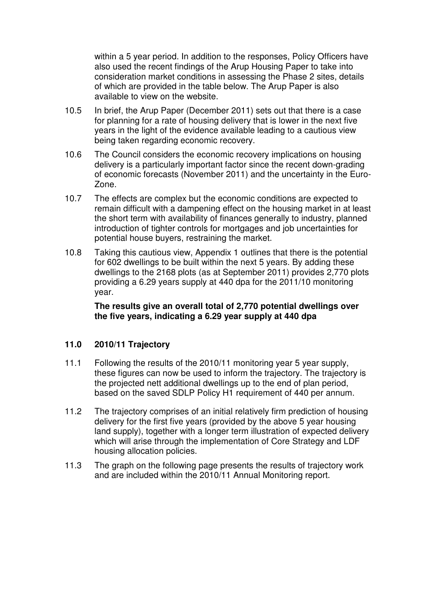within a 5 year period. In addition to the responses, Policy Officers have also used the recent findings of the Arup Housing Paper to take into consideration market conditions in assessing the Phase 2 sites, details of which are provided in the table below. The Arup Paper is also available to view on the website.

- 10.5 In brief, the Arup Paper (December 2011) sets out that there is a case for planning for a rate of housing delivery that is lower in the next five years in the light of the evidence available leading to a cautious view being taken regarding economic recovery.
- 10.6 The Council considers the economic recovery implications on housing delivery is a particularly important factor since the recent down-grading of economic forecasts (November 2011) and the uncertainty in the Euro-Zone.
- 10.7 The effects are complex but the economic conditions are expected to remain difficult with a dampening effect on the housing market in at least the short term with availability of finances generally to industry, planned introduction of tighter controls for mortgages and job uncertainties for potential house buyers, restraining the market.
- 10.8 Taking this cautious view, Appendix 1 outlines that there is the potential for 602 dwellings to be built within the next 5 years. By adding these dwellings to the 2168 plots (as at September 2011) provides 2,770 plots providing a 6.29 years supply at 440 dpa for the 2011/10 monitoring year.

**The results give an overall total of 2,770 potential dwellings over the five years, indicating a 6.29 year supply at 440 dpa**

### **11.0 2010/11 Trajectory**

- 11.1 Following the results of the 2010/11 monitoring year 5 year supply, these figures can now be used to inform the trajectory. The trajectory is the projected nett additional dwellings up to the end of plan period, based on the saved SDLP Policy H1 requirement of 440 per annum.
- 11.2 The trajectory comprises of an initial relatively firm prediction of housing delivery for the first five years (provided by the above 5 year housing land supply), together with a longer term illustration of expected delivery which will arise through the implementation of Core Strategy and LDF housing allocation policies.
- 11.3 The graph on the following page presents the results of trajectory work and are included within the 2010/11 Annual Monitoring report.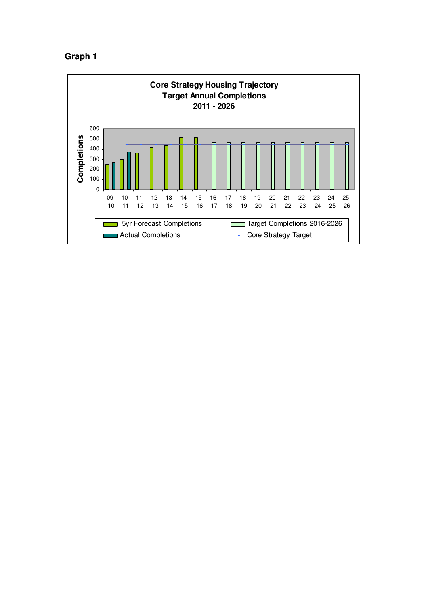

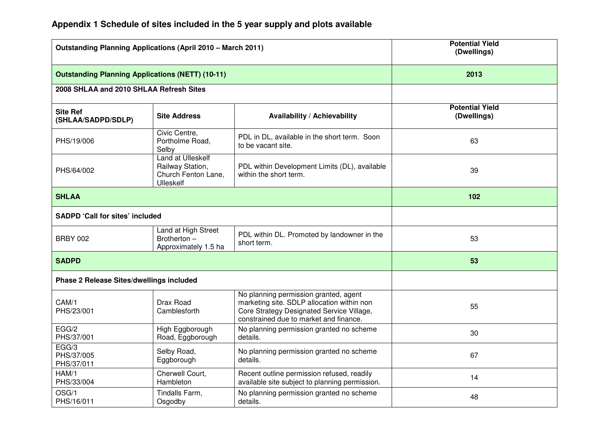| <b>Outstanding Planning Applications (April 2010 - March 2011)</b> |                                                                                  |                                                                                                                                                                            | <b>Potential Yield</b><br>(Dwellings) |
|--------------------------------------------------------------------|----------------------------------------------------------------------------------|----------------------------------------------------------------------------------------------------------------------------------------------------------------------------|---------------------------------------|
| <b>Outstanding Planning Applications (NETT) (10-11)</b>            |                                                                                  | 2013                                                                                                                                                                       |                                       |
| 2008 SHLAA and 2010 SHLAA Refresh Sites                            |                                                                                  |                                                                                                                                                                            |                                       |
| <b>Site Ref</b><br>(SHLAA/SADPD/SDLP)                              | <b>Site Address</b>                                                              | Availability / Achievability                                                                                                                                               | <b>Potential Yield</b><br>(Dwellings) |
| PHS/19/006                                                         | Civic Centre,<br>Portholme Road,<br>Selby                                        | PDL in DL, available in the short term. Soon<br>to be vacant site.                                                                                                         | 63                                    |
| PHS/64/002                                                         | Land at Ulleskelf<br>Railway Station,<br>Church Fenton Lane,<br><b>Ulleskelf</b> | PDL within Development Limits (DL), available<br>within the short term.                                                                                                    | 39                                    |
| <b>SHLAA</b>                                                       |                                                                                  |                                                                                                                                                                            | 102                                   |
| <b>SADPD 'Call for sites' included</b>                             |                                                                                  |                                                                                                                                                                            |                                       |
| <b>BRBY 002</b>                                                    | Land at High Street<br>Brotherton -<br>Approximately 1.5 ha                      | PDL within DL. Promoted by landowner in the<br>short term.                                                                                                                 | 53                                    |
| <b>SADPD</b>                                                       |                                                                                  |                                                                                                                                                                            | 53                                    |
| Phase 2 Release Sites/dwellings included                           |                                                                                  |                                                                                                                                                                            |                                       |
| CAM/1<br>PHS/23/001                                                | Drax Road<br>Camblesforth                                                        | No planning permission granted, agent<br>marketing site. SDLP allocation within non<br>Core Strategy Designated Service Village,<br>constrained due to market and finance. | 55                                    |
| EGG/2<br>PHS/37/001                                                | High Eggborough<br>Road, Eggborough                                              | No planning permission granted no scheme<br>details.                                                                                                                       | 30                                    |
| EGG/3<br>PHS/37/005<br>PHS/37/011                                  | Selby Road,<br>Eggborough                                                        | No planning permission granted no scheme<br>details.                                                                                                                       | 67                                    |
| HAM/1<br>PHS/33/004                                                | Cherwell Court,<br>Hambleton                                                     | Recent outline permission refused, readily<br>available site subject to planning permission.                                                                               | 14                                    |
| OSG/1<br>PHS/16/011                                                | Tindalls Farm,<br>Osgodby                                                        | No planning permission granted no scheme<br>details.                                                                                                                       | 48                                    |